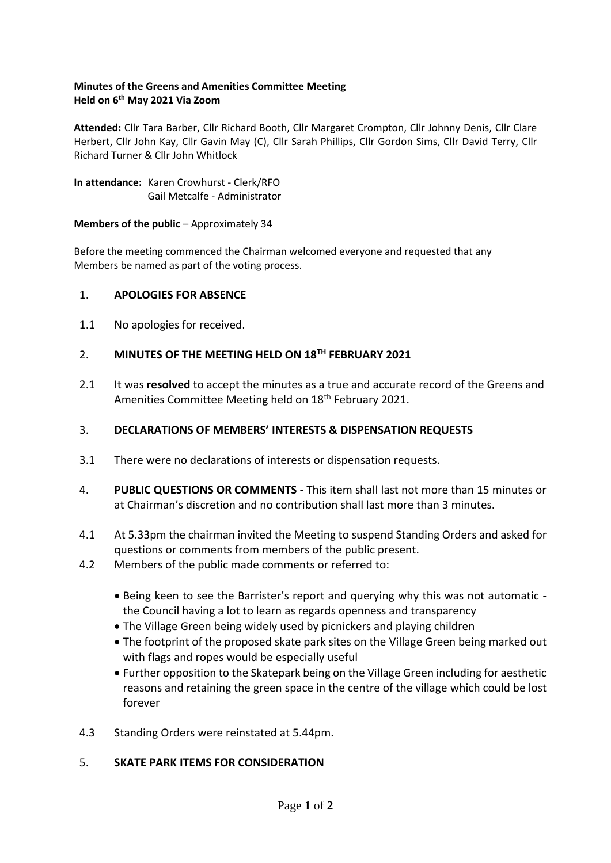## **Minutes of the Greens and Amenities Committee Meeting Held on 6th May 2021 Via Zoom**

**Attended:** Cllr Tara Barber, Cllr Richard Booth, Cllr Margaret Crompton, Cllr Johnny Denis, Cllr Clare Herbert, Cllr John Kay, Cllr Gavin May (C), Cllr Sarah Phillips, Cllr Gordon Sims, Cllr David Terry, Cllr Richard Turner & Cllr John Whitlock

**In attendance:** Karen Crowhurst - Clerk/RFO Gail Metcalfe - Administrator

## **Members of the public** – Approximately 34

Before the meeting commenced the Chairman welcomed everyone and requested that any Members be named as part of the voting process.

## 1. **APOLOGIES FOR ABSENCE**

1.1 No apologies for received.

## 2. **MINUTES OF THE MEETING HELD ON 18TH FEBRUARY 2021**

2.1 It was **resolved** to accept the minutes as a true and accurate record of the Greens and Amenities Committee Meeting held on 18<sup>th</sup> February 2021.

## 3. **DECLARATIONS OF MEMBERS' INTERESTS & DISPENSATION REQUESTS**

- 3.1 There were no declarations of interests or dispensation requests.
- 4. **PUBLIC QUESTIONS OR COMMENTS -** This item shall last not more than 15 minutes or at Chairman's discretion and no contribution shall last more than 3 minutes.
- 4.1 At 5.33pm the chairman invited the Meeting to suspend Standing Orders and asked for questions or comments from members of the public present.
- 4.2 Members of the public made comments or referred to:
	- Being keen to see the Barrister's report and querying why this was not automatic the Council having a lot to learn as regards openness and transparency
	- The Village Green being widely used by picnickers and playing children
	- The footprint of the proposed skate park sites on the Village Green being marked out with flags and ropes would be especially useful
	- Further opposition to the Skatepark being on the Village Green including for aesthetic reasons and retaining the green space in the centre of the village which could be lost forever
- 4.3 Standing Orders were reinstated at 5.44pm.

## 5. **SKATE PARK ITEMS FOR CONSIDERATION**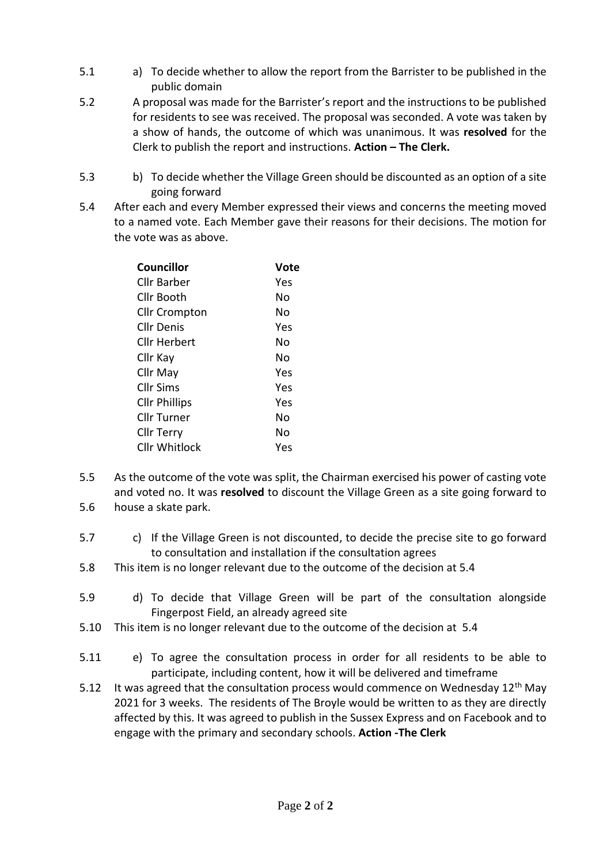- 5.1 a) To decide whether to allow the report from the Barrister to be published in the public domain
- 5.2 A proposal was made for the Barrister's report and the instructions to be published for residents to see was received. The proposal was seconded. A vote was taken by a show of hands, the outcome of which was unanimous. It was **resolved** for the Clerk to publish the report and instructions. **Action – The Clerk.**
- 5.3 b) To decide whether the Village Green should be discounted as an option of a site going forward
- 5.4 After each and every Member expressed their views and concerns the meeting moved to a named vote. Each Member gave their reasons for their decisions. The motion for the vote was as above.

| Councillor           | Vote |
|----------------------|------|
| Cllr Barber          | Yes  |
| Cllr Booth           | N٥   |
| <b>Cllr Crompton</b> | N٥   |
| Cllr Denis           | Yes  |
| Cllr Herbert         | N٥   |
| Cllr Kay             | N٥   |
| Cllr May             | Yes  |
| Cllr Sims            | Yes  |
| <b>Cllr Phillips</b> | Yes  |
| Cllr Turner          | N٥   |
| Cllr Terry           | No   |
| Cllr Whitlock        | Yes  |
|                      |      |

- 5.5 5.6 As the outcome of the vote was split, the Chairman exercised his power of casting vote and voted no. It was **resolved** to discount the Village Green as a site going forward to house a skate park.
- 5.7 c) If the Village Green is not discounted, to decide the precise site to go forward to consultation and installation if the consultation agrees
- 5.8 This item is no longer relevant due to the outcome of the decision at 5.4
- 5.9 d) To decide that Village Green will be part of the consultation alongside Fingerpost Field, an already agreed site
- 5.10 This item is no longer relevant due to the outcome of the decision at 5.4
- 5.11 e) To agree the consultation process in order for all residents to be able to participate, including content, how it will be delivered and timeframe
- 5.12 It was agreed that the consultation process would commence on Wednesday 12<sup>th</sup> May 2021 for 3 weeks. The residents of The Broyle would be written to as they are directly affected by this. It was agreed to publish in the Sussex Express and on Facebook and to engage with the primary and secondary schools. **Action -The Clerk**